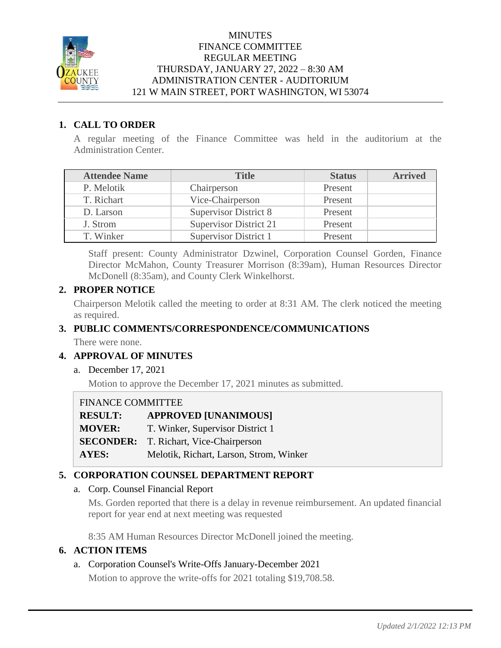

### **MINUTES** FINANCE COMMITTEE REGULAR MEETING THURSDAY, JANUARY 27, 2022 – 8:30 AM ADMINISTRATION CENTER - AUDITORIUM 121 W MAIN STREET, PORT WASHINGTON, WI 53074

### **1. CALL TO ORDER**

A regular meeting of the Finance Committee was held in the auditorium at the Administration Center.

| <b>Attendee Name</b> | <b>Title</b>                  | <b>Status</b> | <b>Arrived</b> |
|----------------------|-------------------------------|---------------|----------------|
| P. Melotik           | Chairperson                   | Present       |                |
| T. Richart           | Vice-Chairperson              | Present       |                |
| D. Larson            | <b>Supervisor District 8</b>  | Present       |                |
| J. Strom             | <b>Supervisor District 21</b> | Present       |                |
| T. Winker            | Supervisor District 1         | Present       |                |

Staff present: County Administrator Dzwinel, Corporation Counsel Gorden, Finance Director McMahon, County Treasurer Morrison (8:39am), Human Resources Director McDonell (8:35am), and County Clerk Winkelhorst.

### **2. PROPER NOTICE**

Chairperson Melotik called the meeting to order at 8:31 AM. The clerk noticed the meeting as required.

### **3. PUBLIC COMMENTS/CORRESPONDENCE/COMMUNICATIONS**

There were none.

# **4. APPROVAL OF MINUTES**

a. December 17, 2021

Motion to approve the December 17, 2021 minutes as submitted.

### FINANCE COMMITTEE

**RESULT: APPROVED [UNANIMOUS] MOVER:** T. Winker, Supervisor District 1 **SECONDER:** T. Richart, Vice-Chairperson

**AYES:** Melotik, Richart, Larson, Strom, Winker

### **5. CORPORATION COUNSEL DEPARTMENT REPORT**

### a. Corp. Counsel Financial Report

Ms. Gorden reported that there is a delay in revenue reimbursement. An updated financial report for year end at next meeting was requested

8:35 AM Human Resources Director McDonell joined the meeting.

### **6. ACTION ITEMS**

# a. Corporation Counsel's Write-Offs January-December 2021

Motion to approve the write-offs for 2021 totaling \$19,708.58.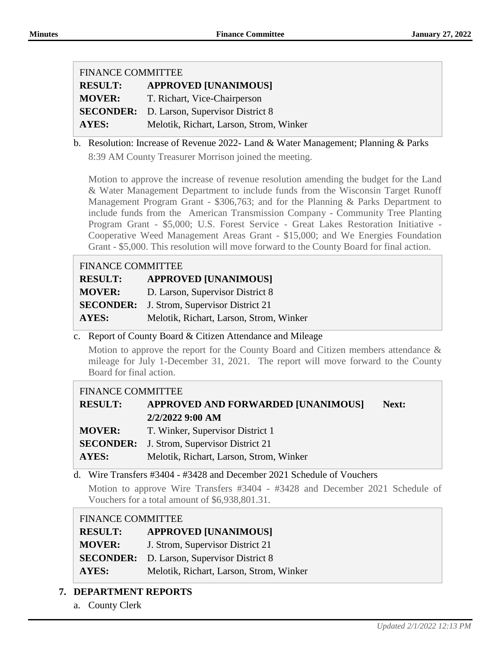| <b>FINANCE COMMITTEE</b> |                                                   |  |
|--------------------------|---------------------------------------------------|--|
| <b>RESULT:</b>           | <b>APPROVED [UNANIMOUS]</b>                       |  |
| <b>MOVER:</b>            | T. Richart, Vice-Chairperson                      |  |
|                          | <b>SECONDER:</b> D. Larson, Supervisor District 8 |  |
| <b>AYES:</b>             | Melotik, Richart, Larson, Strom, Winker           |  |

b. Resolution: Increase of Revenue 2022- Land & Water Management; Planning & Parks 8:39 AM County Treasurer Morrison joined the meeting.

Motion to approve the increase of revenue resolution amending the budget for the Land & Water Management Department to include funds from the Wisconsin Target Runoff Management Program Grant - \$306,763; and for the Planning & Parks Department to include funds from the American Transmission Company - Community Tree Planting Program Grant - \$5,000; U.S. Forest Service - Great Lakes Restoration Initiative - Cooperative Weed Management Areas Grant - \$15,000; and We Energies Foundation Grant - \$5,000. This resolution will move forward to the County Board for final action.

| <b>FINANCE COMMITTEE</b> |                                         |  |
|--------------------------|-----------------------------------------|--|
| <b>RESULT:</b>           | <b>APPROVED [UNANIMOUS]</b>             |  |
| <b>MOVER:</b>            | D. Larson, Supervisor District 8        |  |
| <b>SECONDER:</b>         | J. Strom, Supervisor District 21        |  |
| <b>AYES:</b>             | Melotik, Richart, Larson, Strom, Winker |  |

### c. Report of County Board & Citizen Attendance and Mileage

Motion to approve the report for the County Board and Citizen members attendance & mileage for July 1-December 31, 2021. The report will move forward to the County Board for final action.

### FINANCE COMMITTEE

| <b>RESULT:</b> | <b>APPROVED AND FORWARDED [UNANIMOUS]</b>         | Next: |
|----------------|---------------------------------------------------|-------|
|                | 2/2/2022 9:00 AM                                  |       |
| <b>MOVER:</b>  | T. Winker, Supervisor District 1                  |       |
|                | <b>SECONDER:</b> J. Strom, Supervisor District 21 |       |
| AYES:          | Melotik, Richart, Larson, Strom, Winker           |       |

d. Wire Transfers #3404 - #3428 and December 2021 Schedule of Vouchers

Motion to approve Wire Transfers #3404 - #3428 and December 2021 Schedule of Vouchers for a total amount of \$6,938,801.31.

### FINANCE COMMITTEE

| <b>RESULT:</b> | <b>APPROVED [UNANIMOUS]</b>                       |
|----------------|---------------------------------------------------|
| <b>MOVER:</b>  | J. Strom, Supervisor District 21                  |
|                | <b>SECONDER:</b> D. Larson, Supervisor District 8 |
| <b>AYES:</b>   | Melotik, Richart, Larson, Strom, Winker           |

# **7. DEPARTMENT REPORTS**

a. County Clerk